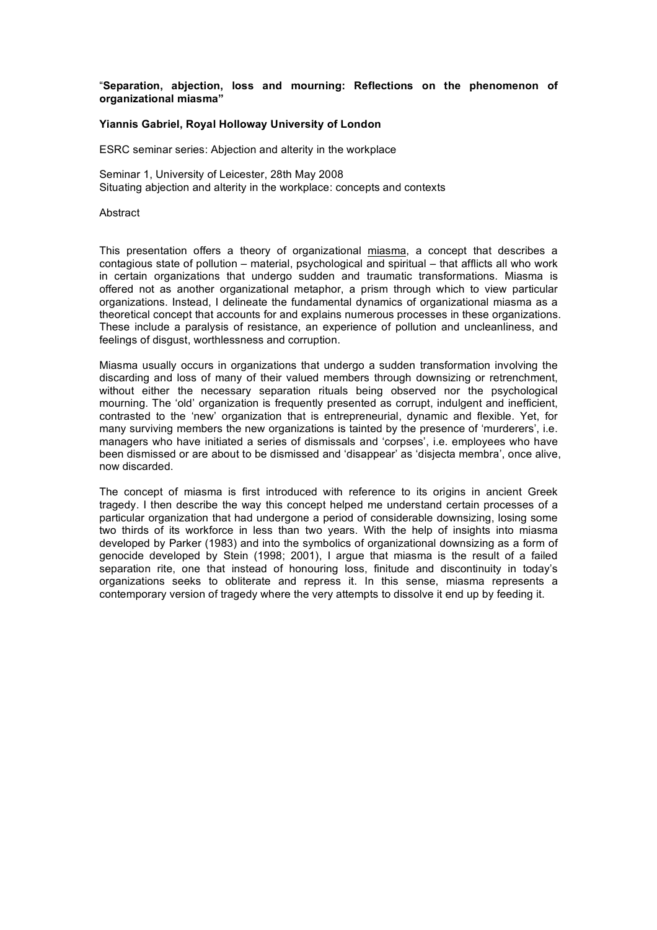### "**Separation, abjection, loss and mourning: Reflections on the phenomenon of organizational miasma"**

#### **Yiannis Gabriel, Royal Holloway University of London**

ESRC seminar series: Abjection and alterity in the workplace

Seminar 1, University of Leicester, 28th May 2008 Situating abjection and alterity in the workplace: concepts and contexts

Abstract

This presentation offers a theory of organizational miasma, a concept that describes a contagious state of pollution – material, psychological and spiritual – that afflicts all who work in certain organizations that undergo sudden and traumatic transformations. Miasma is offered not as another organizational metaphor, a prism through which to view particular organizations. Instead, I delineate the fundamental dynamics of organizational miasma as a theoretical concept that accounts for and explains numerous processes in these organizations. These include a paralysis of resistance, an experience of pollution and uncleanliness, and feelings of disgust, worthlessness and corruption.

Miasma usually occurs in organizations that undergo a sudden transformation involving the discarding and loss of many of their valued members through downsizing or retrenchment, without either the necessary separation rituals being observed nor the psychological mourning. The 'old' organization is frequently presented as corrupt, indulgent and inefficient, contrasted to the 'new' organization that is entrepreneurial, dynamic and flexible. Yet, for many surviving members the new organizations is tainted by the presence of 'murderers', i.e. managers who have initiated a series of dismissals and 'corpses', i.e. employees who have been dismissed or are about to be dismissed and 'disappear' as 'disjecta membra', once alive, now discarded.

The concept of miasma is first introduced with reference to its origins in ancient Greek tragedy. I then describe the way this concept helped me understand certain processes of a particular organization that had undergone a period of considerable downsizing, losing some two thirds of its workforce in less than two years. With the help of insights into miasma developed by Parker (1983) and into the symbolics of organizational downsizing as a form of genocide developed by Stein (1998; 2001), I argue that miasma is the result of a failed separation rite, one that instead of honouring loss, finitude and discontinuity in today's organizations seeks to obliterate and repress it. In this sense, miasma represents a contemporary version of tragedy where the very attempts to dissolve it end up by feeding it.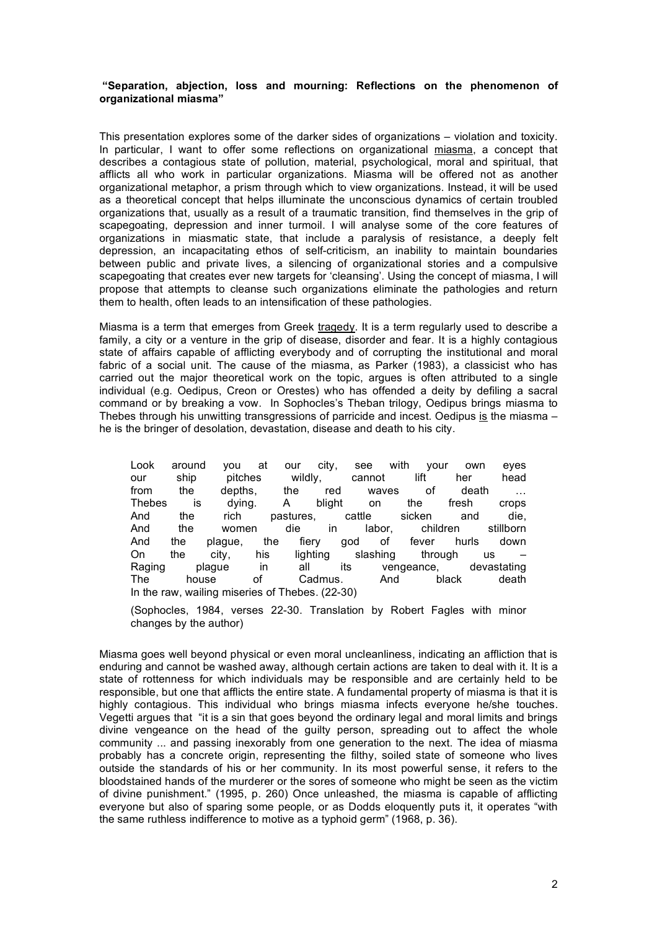### **"Separation, abjection, loss and mourning: Reflections on the phenomenon of organizational miasma"**

This presentation explores some of the darker sides of organizations – violation and toxicity. In particular, I want to offer some reflections on organizational miasma, a concept that describes a contagious state of pollution, material, psychological, moral and spiritual, that afflicts all who work in particular organizations. Miasma will be offered not as another organizational metaphor, a prism through which to view organizations. Instead, it will be used as a theoretical concept that helps illuminate the unconscious dynamics of certain troubled organizations that, usually as a result of a traumatic transition, find themselves in the grip of scapegoating, depression and inner turmoil. I will analyse some of the core features of organizations in miasmatic state, that include a paralysis of resistance, a deeply felt depression, an incapacitating ethos of self-criticism, an inability to maintain boundaries between public and private lives, a silencing of organizational stories and a compulsive scapegoating that creates ever new targets for 'cleansing'. Using the concept of miasma, I will propose that attempts to cleanse such organizations eliminate the pathologies and return them to health, often leads to an intensification of these pathologies.

Miasma is a term that emerges from Greek tragedy. It is a term regularly used to describe a family, a city or a venture in the grip of disease, disorder and fear. It is a highly contagious state of affairs capable of afflicting everybody and of corrupting the institutional and moral fabric of a social unit. The cause of the miasma, as Parker (1983), a classicist who has carried out the major theoretical work on the topic, argues is often attributed to a single individual (e.g. Oedipus, Creon or Orestes) who has offended a deity by defiling a sacral command or by breaking a vow. In Sophocles's Theban trilogy, Oedipus brings miasma to Thebes through his unwitting transgressions of parricide and incest. Oedipus is the miasma – he is the bringer of desolation, devastation, disease and death to his city.

Look around you at our city, see with your own eyes our ship pitches wildly, cannot lift her head from the depths, the red waves of death … Thebes is dying. A blight on the fresh crops And the rich pastures, cattle sicken and die, And the women die in labor, children stillborn And the plague, the fiery god of fever hurls down On the city, his lighting slashing through us Raging plague in all its vengeance, devastating The house of Cadmus. And black death In the raw, wailing miseries of Thebes. (22-30)

(Sophocles, 1984, verses 22-30. Translation by Robert Fagles with minor changes by the author)

Miasma goes well beyond physical or even moral uncleanliness, indicating an affliction that is enduring and cannot be washed away, although certain actions are taken to deal with it. It is a state of rottenness for which individuals may be responsible and are certainly held to be responsible, but one that afflicts the entire state. A fundamental property of miasma is that it is highly contagious. This individual who brings miasma infects everyone he/she touches. Vegetti argues that "it is a sin that goes beyond the ordinary legal and moral limits and brings divine vengeance on the head of the guilty person, spreading out to affect the whole community ... and passing inexorably from one generation to the next. The idea of miasma probably has a concrete origin, representing the filthy, soiled state of someone who lives outside the standards of his or her community. In its most powerful sense, it refers to the bloodstained hands of the murderer or the sores of someone who might be seen as the victim of divine punishment." (1995, p. 260) Once unleashed, the miasma is capable of afflicting everyone but also of sparing some people, or as Dodds eloquently puts it, it operates "with the same ruthless indifference to motive as a typhoid germ" (1968, p. 36).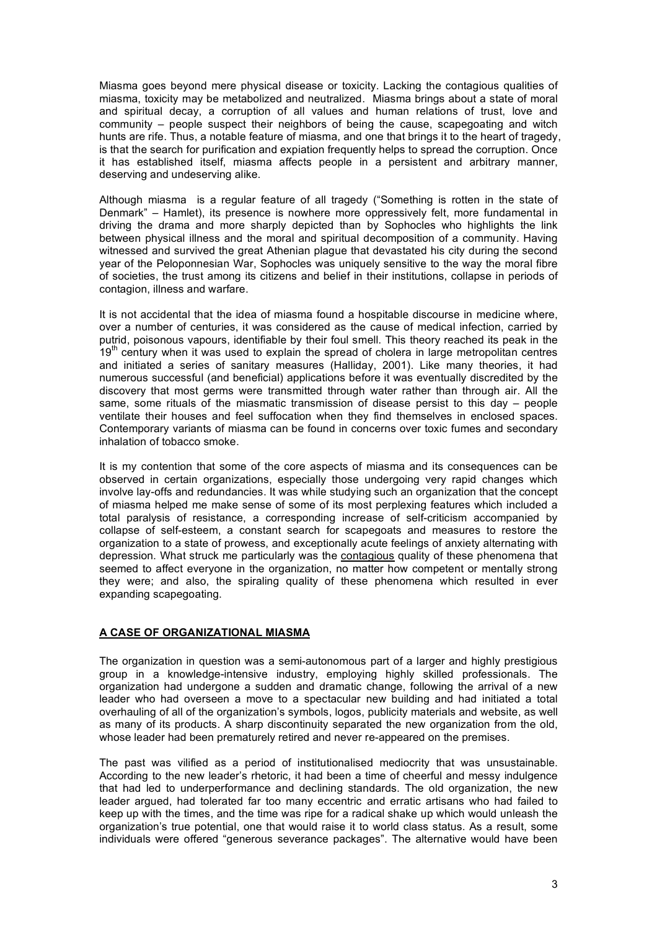Miasma goes beyond mere physical disease or toxicity. Lacking the contagious qualities of miasma, toxicity may be metabolized and neutralized. Miasma brings about a state of moral and spiritual decay, a corruption of all values and human relations of trust, love and community – people suspect their neighbors of being the cause, scapegoating and witch hunts are rife. Thus, a notable feature of miasma, and one that brings it to the heart of tragedy, is that the search for purification and expiation frequently helps to spread the corruption. Once it has established itself, miasma affects people in a persistent and arbitrary manner, deserving and undeserving alike.

Although miasma is a regular feature of all tragedy ("Something is rotten in the state of Denmark" – Hamlet), its presence is nowhere more oppressively felt, more fundamental in driving the drama and more sharply depicted than by Sophocles who highlights the link between physical illness and the moral and spiritual decomposition of a community. Having witnessed and survived the great Athenian plague that devastated his city during the second year of the Peloponnesian War, Sophocles was uniquely sensitive to the way the moral fibre of societies, the trust among its citizens and belief in their institutions, collapse in periods of contagion, illness and warfare.

It is not accidental that the idea of miasma found a hospitable discourse in medicine where, over a number of centuries, it was considered as the cause of medical infection, carried by putrid, poisonous vapours, identifiable by their foul smell. This theory reached its peak in the  $19<sup>th</sup>$  century when it was used to explain the spread of cholera in large metropolitan centres and initiated a series of sanitary measures (Halliday, 2001). Like many theories, it had numerous successful (and beneficial) applications before it was eventually discredited by the discovery that most germs were transmitted through water rather than through air. All the same, some rituals of the miasmatic transmission of disease persist to this day – people ventilate their houses and feel suffocation when they find themselves in enclosed spaces. Contemporary variants of miasma can be found in concerns over toxic fumes and secondary inhalation of tobacco smoke.

It is my contention that some of the core aspects of miasma and its consequences can be observed in certain organizations, especially those undergoing very rapid changes which involve lay-offs and redundancies. It was while studying such an organization that the concept of miasma helped me make sense of some of its most perplexing features which included a total paralysis of resistance, a corresponding increase of self-criticism accompanied by collapse of self-esteem, a constant search for scapegoats and measures to restore the organization to a state of prowess, and exceptionally acute feelings of anxiety alternating with depression. What struck me particularly was the contagious quality of these phenomena that seemed to affect everyone in the organization, no matter how competent or mentally strong they were; and also, the spiraling quality of these phenomena which resulted in ever expanding scapegoating.

### **A CASE OF ORGANIZATIONAL MIASMA**

The organization in question was a semi-autonomous part of a larger and highly prestigious group in a knowledge-intensive industry, employing highly skilled professionals. The organization had undergone a sudden and dramatic change, following the arrival of a new leader who had overseen a move to a spectacular new building and had initiated a total overhauling of all of the organization's symbols, logos, publicity materials and website, as well as many of its products. A sharp discontinuity separated the new organization from the old, whose leader had been prematurely retired and never re-appeared on the premises.

The past was vilified as a period of institutionalised mediocrity that was unsustainable. According to the new leader's rhetoric, it had been a time of cheerful and messy indulgence that had led to underperformance and declining standards. The old organization, the new leader argued, had tolerated far too many eccentric and erratic artisans who had failed to keep up with the times, and the time was ripe for a radical shake up which would unleash the organization's true potential, one that would raise it to world class status. As a result, some individuals were offered "generous severance packages". The alternative would have been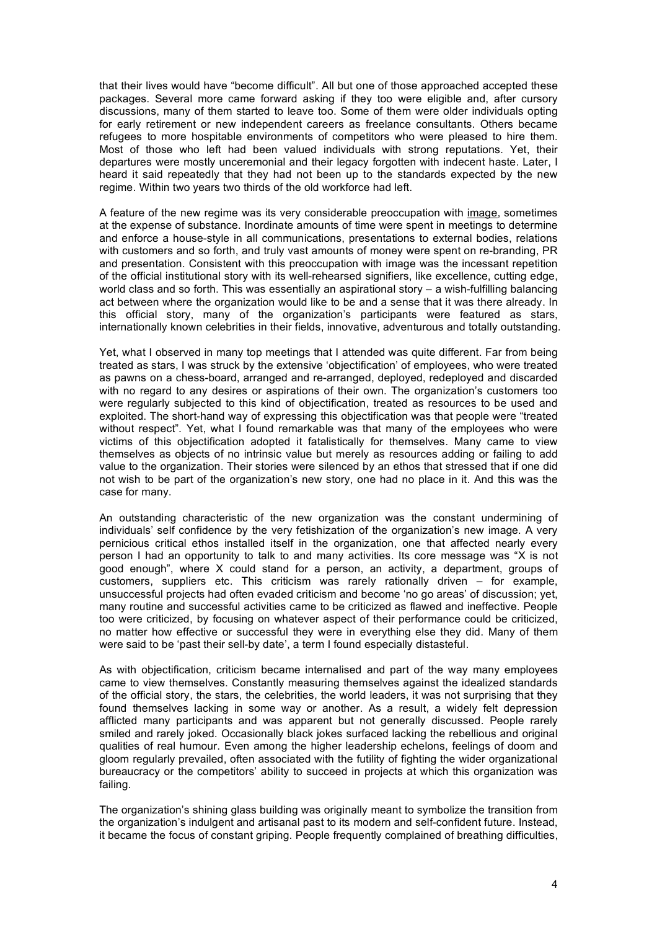that their lives would have "become difficult". All but one of those approached accepted these packages. Several more came forward asking if they too were eligible and, after cursory discussions, many of them started to leave too. Some of them were older individuals opting for early retirement or new independent careers as freelance consultants. Others became refugees to more hospitable environments of competitors who were pleased to hire them. Most of those who left had been valued individuals with strong reputations. Yet, their departures were mostly unceremonial and their legacy forgotten with indecent haste. Later, I heard it said repeatedly that they had not been up to the standards expected by the new regime. Within two years two thirds of the old workforce had left.

A feature of the new regime was its very considerable preoccupation with image, sometimes at the expense of substance. Inordinate amounts of time were spent in meetings to determine and enforce a house-style in all communications, presentations to external bodies, relations with customers and so forth, and truly vast amounts of money were spent on re-branding, PR and presentation. Consistent with this preoccupation with image was the incessant repetition of the official institutional story with its well-rehearsed signifiers, like excellence, cutting edge, world class and so forth. This was essentially an aspirational story – a wish-fulfilling balancing act between where the organization would like to be and a sense that it was there already. In this official story, many of the organization's participants were featured as stars, internationally known celebrities in their fields, innovative, adventurous and totally outstanding.

Yet, what I observed in many top meetings that I attended was quite different. Far from being treated as stars, I was struck by the extensive 'objectification' of employees, who were treated as pawns on a chess-board, arranged and re-arranged, deployed, redeployed and discarded with no regard to any desires or aspirations of their own. The organization's customers too were regularly subjected to this kind of objectification, treated as resources to be used and exploited. The short-hand way of expressing this objectification was that people were "treated without respect". Yet, what I found remarkable was that many of the employees who were victims of this objectification adopted it fatalistically for themselves. Many came to view themselves as objects of no intrinsic value but merely as resources adding or failing to add value to the organization. Their stories were silenced by an ethos that stressed that if one did not wish to be part of the organization's new story, one had no place in it. And this was the case for many.

An outstanding characteristic of the new organization was the constant undermining of individuals' self confidence by the very fetishization of the organization's new image. A very pernicious critical ethos installed itself in the organization, one that affected nearly every person I had an opportunity to talk to and many activities. Its core message was "X is not good enough", where X could stand for a person, an activity, a department, groups of customers, suppliers etc. This criticism was rarely rationally driven – for example, unsuccessful projects had often evaded criticism and become 'no go areas' of discussion; yet, many routine and successful activities came to be criticized as flawed and ineffective. People too were criticized, by focusing on whatever aspect of their performance could be criticized, no matter how effective or successful they were in everything else they did. Many of them were said to be 'past their sell-by date', a term I found especially distasteful.

As with objectification, criticism became internalised and part of the way many employees came to view themselves. Constantly measuring themselves against the idealized standards of the official story, the stars, the celebrities, the world leaders, it was not surprising that they found themselves lacking in some way or another. As a result, a widely felt depression afflicted many participants and was apparent but not generally discussed. People rarely smiled and rarely joked. Occasionally black jokes surfaced lacking the rebellious and original qualities of real humour. Even among the higher leadership echelons, feelings of doom and gloom regularly prevailed, often associated with the futility of fighting the wider organizational bureaucracy or the competitors' ability to succeed in projects at which this organization was failing.

The organization's shining glass building was originally meant to symbolize the transition from the organization's indulgent and artisanal past to its modern and self-confident future. Instead, it became the focus of constant griping. People frequently complained of breathing difficulties,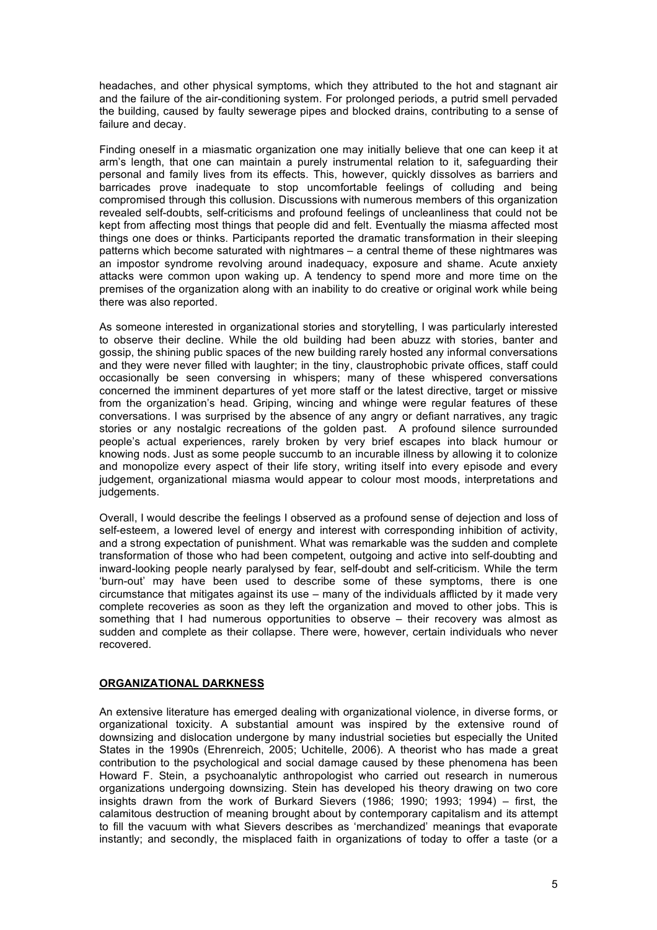headaches, and other physical symptoms, which they attributed to the hot and stagnant air and the failure of the air-conditioning system. For prolonged periods, a putrid smell pervaded the building, caused by faulty sewerage pipes and blocked drains, contributing to a sense of failure and decay.

Finding oneself in a miasmatic organization one may initially believe that one can keep it at arm's length, that one can maintain a purely instrumental relation to it, safeguarding their personal and family lives from its effects. This, however, quickly dissolves as barriers and barricades prove inadequate to stop uncomfortable feelings of colluding and being compromised through this collusion. Discussions with numerous members of this organization revealed self-doubts, self-criticisms and profound feelings of uncleanliness that could not be kept from affecting most things that people did and felt. Eventually the miasma affected most things one does or thinks. Participants reported the dramatic transformation in their sleeping patterns which become saturated with nightmares – a central theme of these nightmares was an impostor syndrome revolving around inadequacy, exposure and shame. Acute anxiety attacks were common upon waking up. A tendency to spend more and more time on the premises of the organization along with an inability to do creative or original work while being there was also reported.

As someone interested in organizational stories and storytelling, I was particularly interested to observe their decline. While the old building had been abuzz with stories, banter and gossip, the shining public spaces of the new building rarely hosted any informal conversations and they were never filled with laughter; in the tiny, claustrophobic private offices, staff could occasionally be seen conversing in whispers; many of these whispered conversations concerned the imminent departures of yet more staff or the latest directive, target or missive from the organization's head. Griping, wincing and whinge were regular features of these conversations. I was surprised by the absence of any angry or defiant narratives, any tragic stories or any nostalgic recreations of the golden past. A profound silence surrounded people's actual experiences, rarely broken by very brief escapes into black humour or knowing nods. Just as some people succumb to an incurable illness by allowing it to colonize and monopolize every aspect of their life story, writing itself into every episode and every judgement, organizational miasma would appear to colour most moods, interpretations and judgements.

Overall, I would describe the feelings I observed as a profound sense of dejection and loss of self-esteem, a lowered level of energy and interest with corresponding inhibition of activity, and a strong expectation of punishment. What was remarkable was the sudden and complete transformation of those who had been competent, outgoing and active into self-doubting and inward-looking people nearly paralysed by fear, self-doubt and self-criticism. While the term 'burn-out' may have been used to describe some of these symptoms, there is one circumstance that mitigates against its use – many of the individuals afflicted by it made very complete recoveries as soon as they left the organization and moved to other jobs. This is something that I had numerous opportunities to observe – their recovery was almost as sudden and complete as their collapse. There were, however, certain individuals who never recovered.

# **ORGANIZATIONAL DARKNESS**

An extensive literature has emerged dealing with organizational violence, in diverse forms, or organizational toxicity. A substantial amount was inspired by the extensive round of downsizing and dislocation undergone by many industrial societies but especially the United States in the 1990s (Ehrenreich, 2005; Uchitelle, 2006). A theorist who has made a great contribution to the psychological and social damage caused by these phenomena has been Howard F. Stein, a psychoanalytic anthropologist who carried out research in numerous organizations undergoing downsizing. Stein has developed his theory drawing on two core insights drawn from the work of Burkard Sievers (1986; 1990; 1993; 1994) – first, the calamitous destruction of meaning brought about by contemporary capitalism and its attempt to fill the vacuum with what Sievers describes as 'merchandized' meanings that evaporate instantly; and secondly, the misplaced faith in organizations of today to offer a taste (or a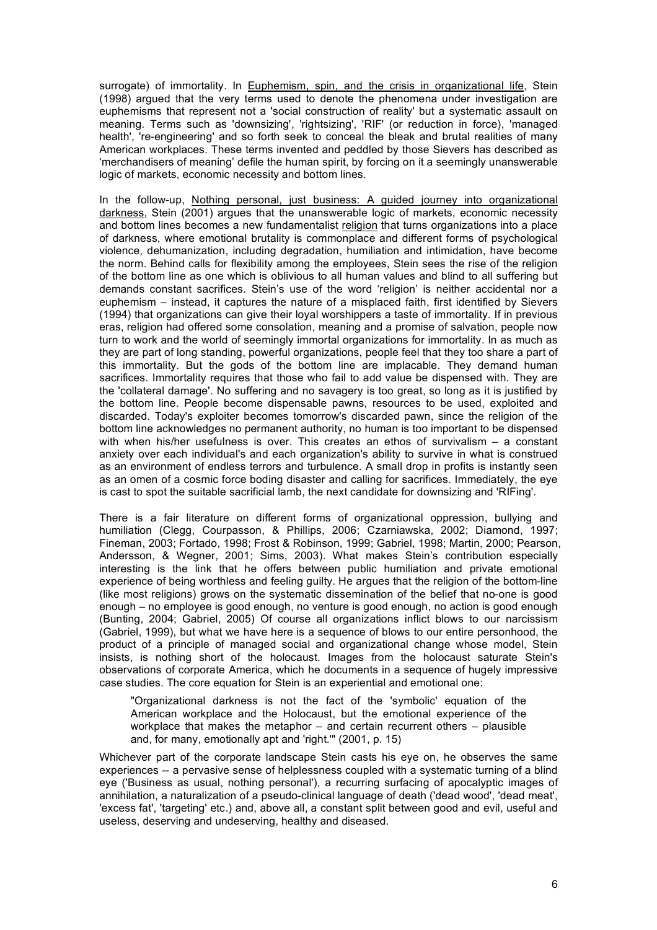surrogate) of immortality. In Euphemism, spin, and the crisis in organizational life, Stein (1998) argued that the very terms used to denote the phenomena under investigation are euphemisms that represent not a 'social construction of reality' but a systematic assault on meaning. Terms such as 'downsizing', 'rightsizing', 'RIF' (or reduction in force), 'managed health', 're-engineering' and so forth seek to conceal the bleak and brutal realities of many American workplaces. These terms invented and peddled by those Sievers has described as 'merchandisers of meaning' defile the human spirit, by forcing on it a seemingly unanswerable logic of markets, economic necessity and bottom lines.

In the follow-up, Nothing personal, just business: A guided journey into organizational darkness, Stein (2001) argues that the unanswerable logic of markets, economic necessity and bottom lines becomes a new fundamentalist religion that turns organizations into a place of darkness, where emotional brutality is commonplace and different forms of psychological violence, dehumanization, including degradation, humiliation and intimidation, have become the norm. Behind calls for flexibility among the employees, Stein sees the rise of the religion of the bottom line as one which is oblivious to all human values and blind to all suffering but demands constant sacrifices. Stein's use of the word 'religion' is neither accidental nor a euphemism – instead, it captures the nature of a misplaced faith, first identified by Sievers (1994) that organizations can give their loyal worshippers a taste of immortality. If in previous eras, religion had offered some consolation, meaning and a promise of salvation, people now turn to work and the world of seemingly immortal organizations for immortality. In as much as they are part of long standing, powerful organizations, people feel that they too share a part of this immortality. But the gods of the bottom line are implacable. They demand human sacrifices. Immortality requires that those who fail to add value be dispensed with. They are the 'collateral damage'. No suffering and no savagery is too great, so long as it is justified by the bottom line. People become dispensable pawns, resources to be used, exploited and discarded. Today's exploiter becomes tomorrow's discarded pawn, since the religion of the bottom line acknowledges no permanent authority, no human is too important to be dispensed with when his/her usefulness is over. This creates an ethos of survivalism – a constant anxiety over each individual's and each organization's ability to survive in what is construed as an environment of endless terrors and turbulence. A small drop in profits is instantly seen as an omen of a cosmic force boding disaster and calling for sacrifices. Immediately, the eye is cast to spot the suitable sacrificial lamb, the next candidate for downsizing and 'RIFing'.

There is a fair literature on different forms of organizational oppression, bullying and humiliation (Clegg, Courpasson, & Phillips, 2006; Czarniawska, 2002; Diamond, 1997; Fineman, 2003; Fortado, 1998; Frost & Robinson, 1999; Gabriel, 1998; Martin, 2000; Pearson, Andersson, & Wegner, 2001; Sims, 2003). What makes Stein's contribution especially interesting is the link that he offers between public humiliation and private emotional experience of being worthless and feeling guilty. He argues that the religion of the bottom-line (like most religions) grows on the systematic dissemination of the belief that no-one is good enough – no employee is good enough, no venture is good enough, no action is good enough (Bunting, 2004; Gabriel, 2005) Of course all organizations inflict blows to our narcissism (Gabriel, 1999), but what we have here is a sequence of blows to our entire personhood, the product of a principle of managed social and organizational change whose model, Stein insists, is nothing short of the holocaust. Images from the holocaust saturate Stein's observations of corporate America, which he documents in a sequence of hugely impressive case studies. The core equation for Stein is an experiential and emotional one:

"Organizational darkness is not the fact of the 'symbolic' equation of the American workplace and the Holocaust, but the emotional experience of the workplace that makes the metaphor – and certain recurrent others – plausible and, for many, emotionally apt and 'right.'" (2001, p. 15)

Whichever part of the corporate landscape Stein casts his eye on, he observes the same experiences -- a pervasive sense of helplessness coupled with a systematic turning of a blind eye ('Business as usual, nothing personal'), a recurring surfacing of apocalyptic images of annihilation, a naturalization of a pseudo-clinical language of death ('dead wood', 'dead meat', 'excess fat', 'targeting' etc.) and, above all, a constant split between good and evil, useful and useless, deserving and undeserving, healthy and diseased.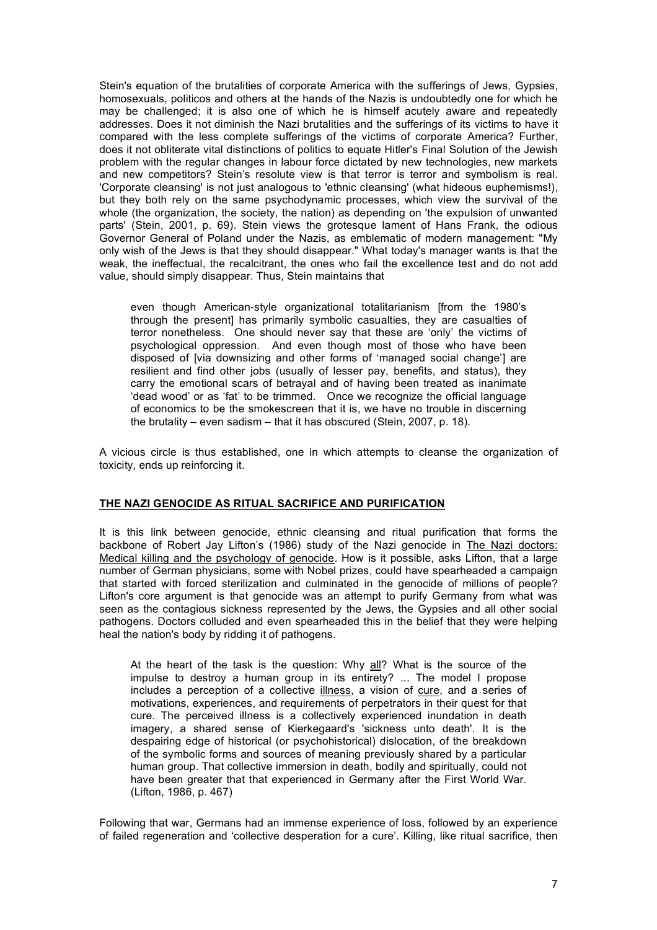Stein's equation of the brutalities of corporate America with the sufferings of Jews, Gypsies, homosexuals, politicos and others at the hands of the Nazis is undoubtedly one for which he may be challenged; it is also one of which he is himself acutely aware and repeatedly addresses. Does it not diminish the Nazi brutalities and the sufferings of its victims to have it compared with the less complete sufferings of the victims of corporate America? Further, does it not obliterate vital distinctions of politics to equate Hitler's Final Solution of the Jewish problem with the regular changes in labour force dictated by new technologies, new markets and new competitors? Stein's resolute view is that terror is terror and symbolism is real. 'Corporate cleansing' is not just analogous to 'ethnic cleansing' (what hideous euphemisms!), but they both rely on the same psychodynamic processes, which view the survival of the whole (the organization, the society, the nation) as depending on 'the expulsion of unwanted parts' (Stein, 2001, p. 69). Stein views the grotesque lament of Hans Frank, the odious Governor General of Poland under the Nazis, as emblematic of modern management: "My only wish of the Jews is that they should disappear." What today's manager wants is that the weak, the ineffectual, the recalcitrant, the ones who fail the excellence test and do not add value, should simply disappear. Thus, Stein maintains that

even though American-style organizational totalitarianism [from the 1980's through the present] has primarily symbolic casualties, they are casualties of terror nonetheless. One should never say that these are 'only' the victims of psychological oppression. And even though most of those who have been disposed of [via downsizing and other forms of 'managed social change'] are resilient and find other jobs (usually of lesser pay, benefits, and status), they carry the emotional scars of betrayal and of having been treated as inanimate 'dead wood' or as 'fat' to be trimmed. Once we recognize the official language of economics to be the smokescreen that it is, we have no trouble in discerning the brutality – even sadism – that it has obscured (Stein, 2007, p. 18).

A vicious circle is thus established, one in which attempts to cleanse the organization of toxicity, ends up reinforcing it.

## **THE NAZI GENOCIDE AS RITUAL SACRIFICE AND PURIFICATION**

It is this link between genocide, ethnic cleansing and ritual purification that forms the backbone of Robert Jay Lifton's (1986) study of the Nazi genocide in The Nazi doctors: Medical killing and the psychology of genocide. How is it possible, asks Lifton, that a large number of German physicians, some with Nobel prizes, could have spearheaded a campaign that started with forced sterilization and culminated in the genocide of millions of people? Lifton's core argument is that genocide was an attempt to purify Germany from what was seen as the contagious sickness represented by the Jews, the Gypsies and all other social pathogens. Doctors colluded and even spearheaded this in the belief that they were helping heal the nation's body by ridding it of pathogens.

At the heart of the task is the question: Why all? What is the source of the impulse to destroy a human group in its entirety? ... The model I propose includes a perception of a collective illness, a vision of cure, and a series of motivations, experiences, and requirements of perpetrators in their quest for that cure. The perceived illness is a collectively experienced inundation in death imagery, a shared sense of Kierkegaard's 'sickness unto death'. It is the despairing edge of historical (or psychohistorical) dislocation, of the breakdown of the symbolic forms and sources of meaning previously shared by a particular human group. That collective immersion in death, bodily and spiritually, could not have been greater that that experienced in Germany after the First World War. (Lifton, 1986, p. 467)

Following that war, Germans had an immense experience of loss, followed by an experience of failed regeneration and 'collective desperation for a cure'. Killing, like ritual sacrifice, then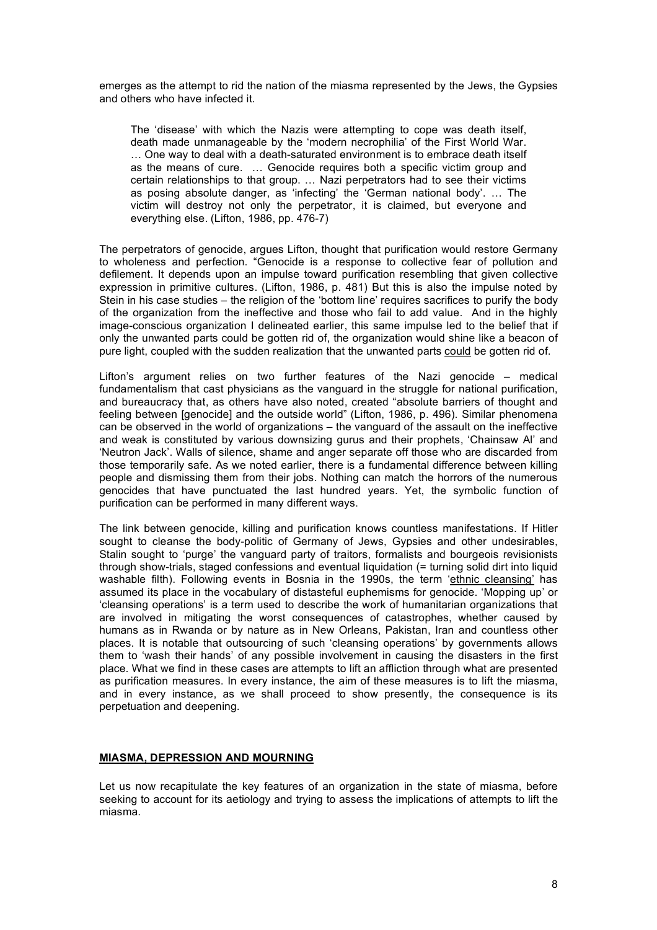emerges as the attempt to rid the nation of the miasma represented by the Jews, the Gypsies and others who have infected it.

The 'disease' with which the Nazis were attempting to cope was death itself, death made unmanageable by the 'modern necrophilia' of the First World War. … One way to deal with a death-saturated environment is to embrace death itself as the means of cure. … Genocide requires both a specific victim group and certain relationships to that group. … Nazi perpetrators had to see their victims as posing absolute danger, as 'infecting' the 'German national body'. … The victim will destroy not only the perpetrator, it is claimed, but everyone and everything else. (Lifton, 1986, pp. 476-7)

The perpetrators of genocide, argues Lifton, thought that purification would restore Germany to wholeness and perfection. "Genocide is a response to collective fear of pollution and defilement. It depends upon an impulse toward purification resembling that given collective expression in primitive cultures. (Lifton, 1986, p. 481) But this is also the impulse noted by Stein in his case studies – the religion of the 'bottom line' requires sacrifices to purify the body of the organization from the ineffective and those who fail to add value. And in the highly image-conscious organization I delineated earlier, this same impulse led to the belief that if only the unwanted parts could be gotten rid of, the organization would shine like a beacon of pure light, coupled with the sudden realization that the unwanted parts could be gotten rid of.

Lifton's argument relies on two further features of the Nazi genocide – medical fundamentalism that cast physicians as the vanguard in the struggle for national purification, and bureaucracy that, as others have also noted, created "absolute barriers of thought and feeling between [genocide] and the outside world" (Lifton, 1986, p. 496). Similar phenomena can be observed in the world of organizations – the vanguard of the assault on the ineffective and weak is constituted by various downsizing gurus and their prophets, 'Chainsaw Al' and 'Neutron Jack'. Walls of silence, shame and anger separate off those who are discarded from those temporarily safe. As we noted earlier, there is a fundamental difference between killing people and dismissing them from their jobs. Nothing can match the horrors of the numerous genocides that have punctuated the last hundred years. Yet, the symbolic function of purification can be performed in many different ways.

The link between genocide, killing and purification knows countless manifestations. If Hitler sought to cleanse the body-politic of Germany of Jews, Gypsies and other undesirables, Stalin sought to 'purge' the vanguard party of traitors, formalists and bourgeois revisionists through show-trials, staged confessions and eventual liquidation (= turning solid dirt into liquid washable filth). Following events in Bosnia in the 1990s, the term 'ethnic cleansing' has assumed its place in the vocabulary of distasteful euphemisms for genocide. 'Mopping up' or 'cleansing operations' is a term used to describe the work of humanitarian organizations that are involved in mitigating the worst consequences of catastrophes, whether caused by humans as in Rwanda or by nature as in New Orleans, Pakistan, Iran and countless other places. It is notable that outsourcing of such 'cleansing operations' by governments allows them to 'wash their hands' of any possible involvement in causing the disasters in the first place. What we find in these cases are attempts to lift an affliction through what are presented as purification measures. In every instance, the aim of these measures is to lift the miasma, and in every instance, as we shall proceed to show presently, the consequence is its perpetuation and deepening.

## **MIASMA, DEPRESSION AND MOURNING**

Let us now recapitulate the key features of an organization in the state of miasma, before seeking to account for its aetiology and trying to assess the implications of attempts to lift the miasma.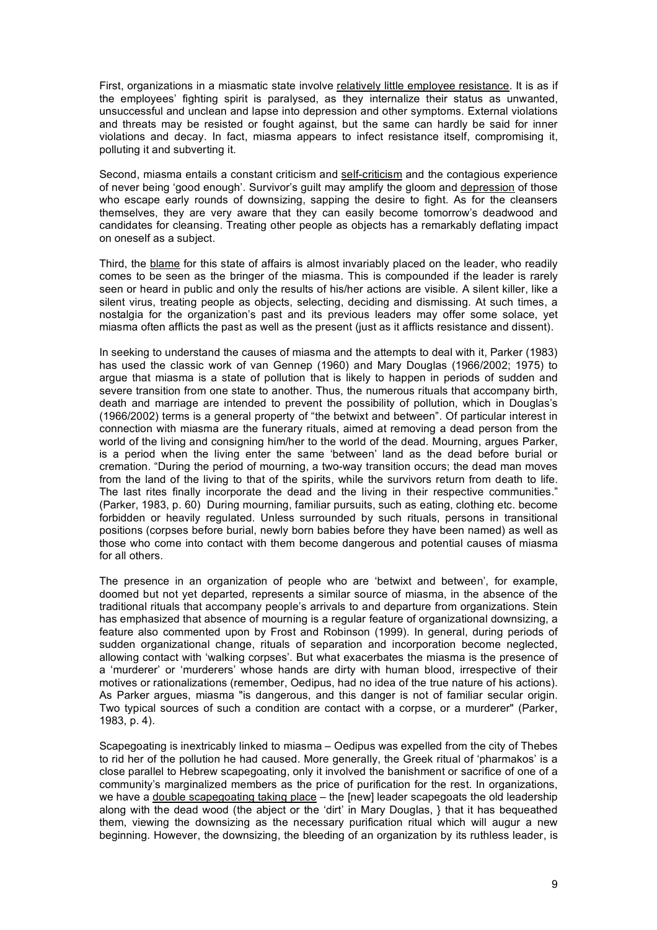First, organizations in a miasmatic state involve relatively little employee resistance. It is as if the employees' fighting spirit is paralysed, as they internalize their status as unwanted, unsuccessful and unclean and lapse into depression and other symptoms. External violations and threats may be resisted or fought against, but the same can hardly be said for inner violations and decay. In fact, miasma appears to infect resistance itself, compromising it, polluting it and subverting it.

Second, miasma entails a constant criticism and self-criticism and the contagious experience of never being 'good enough'. Survivor's guilt may amplify the gloom and depression of those who escape early rounds of downsizing, sapping the desire to fight. As for the cleansers themselves, they are very aware that they can easily become tomorrow's deadwood and candidates for cleansing. Treating other people as objects has a remarkably deflating impact on oneself as a subject.

Third, the blame for this state of affairs is almost invariably placed on the leader, who readily comes to be seen as the bringer of the miasma. This is compounded if the leader is rarely seen or heard in public and only the results of his/her actions are visible. A silent killer, like a silent virus, treating people as objects, selecting, deciding and dismissing. At such times, a nostalgia for the organization's past and its previous leaders may offer some solace, yet miasma often afflicts the past as well as the present (just as it afflicts resistance and dissent).

In seeking to understand the causes of miasma and the attempts to deal with it, Parker (1983) has used the classic work of van Gennep (1960) and Mary Douglas (1966/2002; 1975) to argue that miasma is a state of pollution that is likely to happen in periods of sudden and severe transition from one state to another. Thus, the numerous rituals that accompany birth, death and marriage are intended to prevent the possibility of pollution, which in Douglas's (1966/2002) terms is a general property of "the betwixt and between". Of particular interest in connection with miasma are the funerary rituals, aimed at removing a dead person from the world of the living and consigning him/her to the world of the dead. Mourning, argues Parker, is a period when the living enter the same 'between' land as the dead before burial or cremation. "During the period of mourning, a two-way transition occurs; the dead man moves from the land of the living to that of the spirits, while the survivors return from death to life. The last rites finally incorporate the dead and the living in their respective communities." (Parker, 1983, p. 60) During mourning, familiar pursuits, such as eating, clothing etc. become forbidden or heavily regulated. Unless surrounded by such rituals, persons in transitional positions (corpses before burial, newly born babies before they have been named) as well as those who come into contact with them become dangerous and potential causes of miasma for all others.

The presence in an organization of people who are 'betwixt and between', for example, doomed but not yet departed, represents a similar source of miasma, in the absence of the traditional rituals that accompany people's arrivals to and departure from organizations. Stein has emphasized that absence of mourning is a regular feature of organizational downsizing, a feature also commented upon by Frost and Robinson (1999). In general, during periods of sudden organizational change, rituals of separation and incorporation become neglected, allowing contact with 'walking corpses'. But what exacerbates the miasma is the presence of a 'murderer' or 'murderers' whose hands are dirty with human blood, irrespective of their motives or rationalizations (remember, Oedipus, had no idea of the true nature of his actions). As Parker argues, miasma "is dangerous, and this danger is not of familiar secular origin. Two typical sources of such a condition are contact with a corpse, or a murderer" (Parker, 1983, p. 4).

Scapegoating is inextricably linked to miasma – Oedipus was expelled from the city of Thebes to rid her of the pollution he had caused. More generally, the Greek ritual of 'pharmakos' is a close parallel to Hebrew scapegoating, only it involved the banishment or sacrifice of one of a community's marginalized members as the price of purification for the rest. In organizations, we have a double scapegoating taking place – the [new] leader scapegoats the old leadership along with the dead wood (the abject or the 'dirt' in Mary Douglas, } that it has bequeathed them, viewing the downsizing as the necessary purification ritual which will augur a new beginning. However, the downsizing, the bleeding of an organization by its ruthless leader, is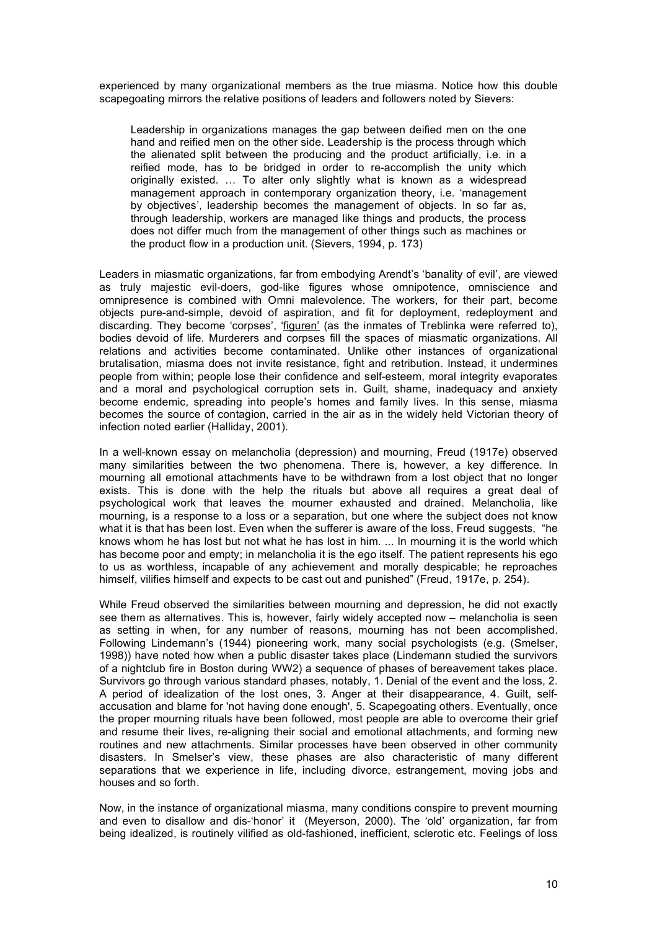experienced by many organizational members as the true miasma. Notice how this double scapegoating mirrors the relative positions of leaders and followers noted by Sievers:

Leadership in organizations manages the gap between deified men on the one hand and reified men on the other side. Leadership is the process through which the alienated split between the producing and the product artificially, i.e. in a reified mode, has to be bridged in order to re-accomplish the unity which originally existed. … To alter only slightly what is known as a widespread management approach in contemporary organization theory, i.e. 'management by objectives', leadership becomes the management of objects. In so far as, through leadership, workers are managed like things and products, the process does not differ much from the management of other things such as machines or the product flow in a production unit. (Sievers, 1994, p. 173)

Leaders in miasmatic organizations, far from embodying Arendt's 'banality of evil', are viewed as truly majestic evil-doers, god-like figures whose omnipotence, omniscience and omnipresence is combined with Omni malevolence. The workers, for their part, become objects pure-and-simple, devoid of aspiration, and fit for deployment, redeployment and discarding. They become 'corpses', 'figuren' (as the inmates of Treblinka were referred to), bodies devoid of life. Murderers and corpses fill the spaces of miasmatic organizations. All relations and activities become contaminated. Unlike other instances of organizational brutalisation, miasma does not invite resistance, fight and retribution. Instead, it undermines people from within; people lose their confidence and self-esteem, moral integrity evaporates and a moral and psychological corruption sets in. Guilt, shame, inadequacy and anxiety become endemic, spreading into people's homes and family lives. In this sense, miasma becomes the source of contagion, carried in the air as in the widely held Victorian theory of infection noted earlier (Halliday, 2001).

In a well-known essay on melancholia (depression) and mourning, Freud (1917e) observed many similarities between the two phenomena. There is, however, a key difference. In mourning all emotional attachments have to be withdrawn from a lost object that no longer exists. This is done with the help the rituals but above all requires a great deal of psychological work that leaves the mourner exhausted and drained. Melancholia, like mourning, is a response to a loss or a separation, but one where the subject does not know what it is that has been lost. Even when the sufferer is aware of the loss, Freud suggests, "he knows whom he has lost but not what he has lost in him. ... In mourning it is the world which has become poor and empty; in melancholia it is the ego itself. The patient represents his ego to us as worthless, incapable of any achievement and morally despicable; he reproaches himself, vilifies himself and expects to be cast out and punished" (Freud, 1917e, p. 254).

While Freud observed the similarities between mourning and depression, he did not exactly see them as alternatives. This is, however, fairly widely accepted now – melancholia is seen as setting in when, for any number of reasons, mourning has not been accomplished. Following Lindemann's (1944) pioneering work, many social psychologists (e.g. (Smelser, 1998)) have noted how when a public disaster takes place (Lindemann studied the survivors of a nightclub fire in Boston during WW2) a sequence of phases of bereavement takes place. Survivors go through various standard phases, notably, 1. Denial of the event and the loss, 2. A period of idealization of the lost ones, 3. Anger at their disappearance, 4. Guilt, selfaccusation and blame for 'not having done enough', 5. Scapegoating others. Eventually, once the proper mourning rituals have been followed, most people are able to overcome their grief and resume their lives, re-aligning their social and emotional attachments, and forming new routines and new attachments. Similar processes have been observed in other community disasters. In Smelser's view, these phases are also characteristic of many different separations that we experience in life, including divorce, estrangement, moving jobs and houses and so forth.

Now, in the instance of organizational miasma, many conditions conspire to prevent mourning and even to disallow and dis-'honor' it (Meyerson, 2000). The 'old' organization, far from being idealized, is routinely vilified as old-fashioned, inefficient, sclerotic etc. Feelings of loss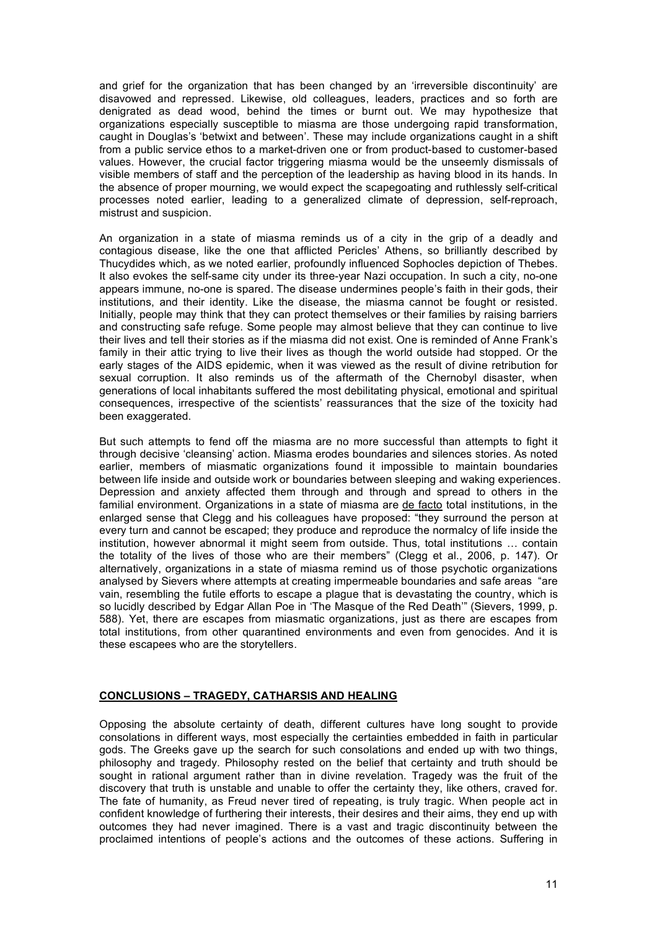and grief for the organization that has been changed by an 'irreversible discontinuity' are disavowed and repressed. Likewise, old colleagues, leaders, practices and so forth are denigrated as dead wood, behind the times or burnt out. We may hypothesize that organizations especially susceptible to miasma are those undergoing rapid transformation, caught in Douglas's 'betwixt and between'. These may include organizations caught in a shift from a public service ethos to a market-driven one or from product-based to customer-based values. However, the crucial factor triggering miasma would be the unseemly dismissals of visible members of staff and the perception of the leadership as having blood in its hands. In the absence of proper mourning, we would expect the scapegoating and ruthlessly self-critical processes noted earlier, leading to a generalized climate of depression, self-reproach, mistrust and suspicion.

An organization in a state of miasma reminds us of a city in the grip of a deadly and contagious disease, like the one that afflicted Pericles' Athens, so brilliantly described by Thucydides which, as we noted earlier, profoundly influenced Sophocles depiction of Thebes. It also evokes the self-same city under its three-year Nazi occupation. In such a city, no-one appears immune, no-one is spared. The disease undermines people's faith in their gods, their institutions, and their identity. Like the disease, the miasma cannot be fought or resisted. Initially, people may think that they can protect themselves or their families by raising barriers and constructing safe refuge. Some people may almost believe that they can continue to live their lives and tell their stories as if the miasma did not exist. One is reminded of Anne Frank's family in their attic trying to live their lives as though the world outside had stopped. Or the early stages of the AIDS epidemic, when it was viewed as the result of divine retribution for sexual corruption. It also reminds us of the aftermath of the Chernobyl disaster, when generations of local inhabitants suffered the most debilitating physical, emotional and spiritual consequences, irrespective of the scientists' reassurances that the size of the toxicity had been exaggerated.

But such attempts to fend off the miasma are no more successful than attempts to fight it through decisive 'cleansing' action. Miasma erodes boundaries and silences stories. As noted earlier, members of miasmatic organizations found it impossible to maintain boundaries between life inside and outside work or boundaries between sleeping and waking experiences. Depression and anxiety affected them through and through and spread to others in the familial environment. Organizations in a state of miasma are de facto total institutions, in the enlarged sense that Clegg and his colleagues have proposed: "they surround the person at every turn and cannot be escaped; they produce and reproduce the normalcy of life inside the institution, however abnormal it might seem from outside. Thus, total institutions … contain the totality of the lives of those who are their members" (Clegg et al., 2006, p. 147). Or alternatively, organizations in a state of miasma remind us of those psychotic organizations analysed by Sievers where attempts at creating impermeable boundaries and safe areas "are vain, resembling the futile efforts to escape a plague that is devastating the country, which is so lucidly described by Edgar Allan Poe in 'The Masque of the Red Death'" (Sievers, 1999, p. 588). Yet, there are escapes from miasmatic organizations, just as there are escapes from total institutions, from other quarantined environments and even from genocides. And it is these escapees who are the storytellers.

# **CONCLUSIONS – TRAGEDY, CATHARSIS AND HEALING**

Opposing the absolute certainty of death, different cultures have long sought to provide consolations in different ways, most especially the certainties embedded in faith in particular gods. The Greeks gave up the search for such consolations and ended up with two things, philosophy and tragedy. Philosophy rested on the belief that certainty and truth should be sought in rational argument rather than in divine revelation. Tragedy was the fruit of the discovery that truth is unstable and unable to offer the certainty they, like others, craved for. The fate of humanity, as Freud never tired of repeating, is truly tragic. When people act in confident knowledge of furthering their interests, their desires and their aims, they end up with outcomes they had never imagined. There is a vast and tragic discontinuity between the proclaimed intentions of people's actions and the outcomes of these actions. Suffering in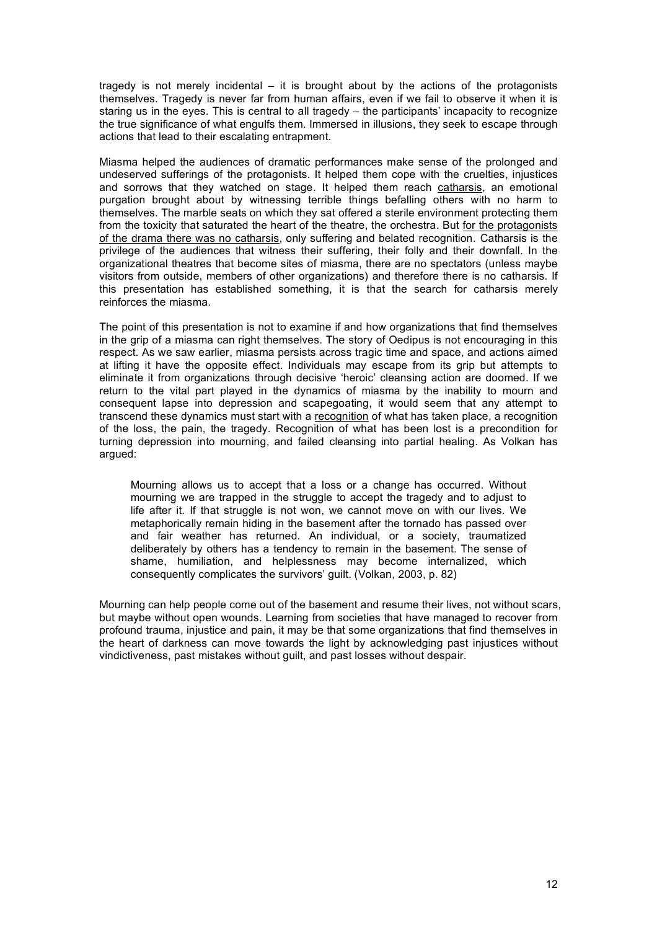tragedy is not merely incidental – it is brought about by the actions of the protagonists themselves. Tragedy is never far from human affairs, even if we fail to observe it when it is staring us in the eyes. This is central to all tragedy – the participants' incapacity to recognize the true significance of what engulfs them. Immersed in illusions, they seek to escape through actions that lead to their escalating entrapment.

Miasma helped the audiences of dramatic performances make sense of the prolonged and undeserved sufferings of the protagonists. It helped them cope with the cruelties, injustices and sorrows that they watched on stage. It helped them reach catharsis, an emotional purgation brought about by witnessing terrible things befalling others with no harm to themselves. The marble seats on which they sat offered a sterile environment protecting them from the toxicity that saturated the heart of the theatre, the orchestra. But for the protagonists of the drama there was no catharsis, only suffering and belated recognition. Catharsis is the privilege of the audiences that witness their suffering, their folly and their downfall. In the organizational theatres that become sites of miasma, there are no spectators (unless maybe visitors from outside, members of other organizations) and therefore there is no catharsis. If this presentation has established something, it is that the search for catharsis merely reinforces the miasma.

The point of this presentation is not to examine if and how organizations that find themselves in the grip of a miasma can right themselves. The story of Oedipus is not encouraging in this respect. As we saw earlier, miasma persists across tragic time and space, and actions aimed at lifting it have the opposite effect. Individuals may escape from its grip but attempts to eliminate it from organizations through decisive 'heroic' cleansing action are doomed. If we return to the vital part played in the dynamics of miasma by the inability to mourn and consequent lapse into depression and scapegoating, it would seem that any attempt to transcend these dynamics must start with a recognition of what has taken place, a recognition of the loss, the pain, the tragedy. Recognition of what has been lost is a precondition for turning depression into mourning, and failed cleansing into partial healing. As Volkan has argued:

Mourning allows us to accept that a loss or a change has occurred. Without mourning we are trapped in the struggle to accept the tragedy and to adjust to life after it. If that struggle is not won, we cannot move on with our lives. We metaphorically remain hiding in the basement after the tornado has passed over and fair weather has returned. An individual, or a society, traumatized deliberately by others has a tendency to remain in the basement. The sense of shame, humiliation, and helplessness may become internalized, which consequently complicates the survivors' guilt. (Volkan, 2003, p. 82)

Mourning can help people come out of the basement and resume their lives, not without scars, but maybe without open wounds. Learning from societies that have managed to recover from profound trauma, injustice and pain, it may be that some organizations that find themselves in the heart of darkness can move towards the light by acknowledging past injustices without vindictiveness, past mistakes without guilt, and past losses without despair.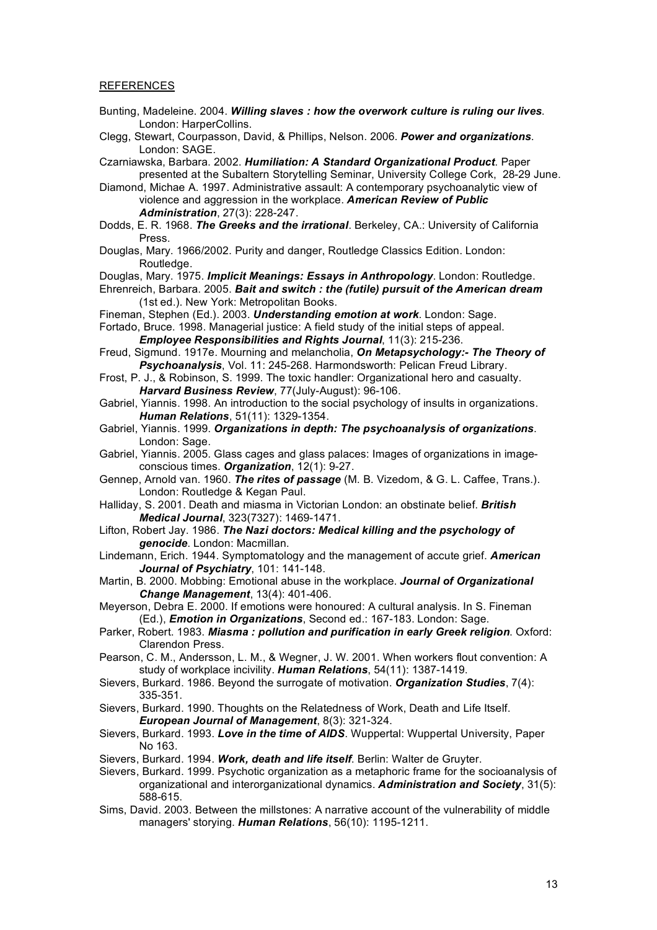#### REFERENCES

- Bunting, Madeleine. 2004. *Willing slaves : how the overwork culture is ruling our lives*. London: HarperCollins.
- Clegg, Stewart, Courpasson, David, & Phillips, Nelson. 2006. *Power and organizations*. London: SAGE.
- Czarniawska, Barbara. 2002. *Humiliation: A Standard Organizational Product*. Paper presented at the Subaltern Storytelling Seminar, University College Cork, 28-29 June.

Diamond, Michae A. 1997. Administrative assault: A contemporary psychoanalytic view of violence and aggression in the workplace. *American Review of Public Administration*, 27(3): 228-247.

- Dodds, E. R. 1968. *The Greeks and the irrational*. Berkeley, CA.: University of California Press.
- Douglas, Mary. 1966/2002. Purity and danger, Routledge Classics Edition. London: Routledge.

Douglas, Mary. 1975. *Implicit Meanings: Essays in Anthropology*. London: Routledge.

Ehrenreich, Barbara. 2005. *Bait and switch : the (futile) pursuit of the American dream* (1st ed.). New York: Metropolitan Books.

Fineman, Stephen (Ed.). 2003. *Understanding emotion at work*. London: Sage.

Fortado, Bruce. 1998. Managerial justice: A field study of the initial steps of appeal. *Employee Responsibilities and Rights Journal*, 11(3): 215-236.

- Freud, Sigmund. 1917e. Mourning and melancholia, *On Metapsychology:- The Theory of Psychoanalysis*, Vol. 11: 245-268. Harmondsworth: Pelican Freud Library.
- Frost, P. J., & Robinson, S. 1999. The toxic handler: Organizational hero and casualty. *Harvard Business Review*, 77(July-August): 96-106.

Gabriel, Yiannis. 1998. An introduction to the social psychology of insults in organizations. *Human Relations*, 51(11): 1329-1354.

- Gabriel, Yiannis. 1999. *Organizations in depth: The psychoanalysis of organizations*. London: Sage.
- Gabriel, Yiannis. 2005. Glass cages and glass palaces: Images of organizations in imageconscious times. *Organization*, 12(1): 9-27.
- Gennep, Arnold van. 1960. *The rites of passage* (M. B. Vizedom, & G. L. Caffee, Trans.). London: Routledge & Kegan Paul.
- Halliday, S. 2001. Death and miasma in Victorian London: an obstinate belief. *British Medical Journal*, 323(7327): 1469-1471.
- Lifton, Robert Jay. 1986. *The Nazi doctors: Medical killing and the psychology of genocide*. London: Macmillan.

Lindemann, Erich. 1944. Symptomatology and the management of accute grief. *American Journal of Psychiatry*, 101: 141-148.

Martin, B. 2000. Mobbing: Emotional abuse in the workplace. *Journal of Organizational Change Management*, 13(4): 401-406.

Meyerson, Debra E. 2000. If emotions were honoured: A cultural analysis. In S. Fineman (Ed.), *Emotion in Organizations*, Second ed.: 167-183. London: Sage.

Parker, Robert. 1983. *Miasma : pollution and purification in early Greek religion*. Oxford: Clarendon Press.

Pearson, C. M., Andersson, L. M., & Wegner, J. W. 2001. When workers flout convention: A study of workplace incivility. *Human Relations*, 54(11): 1387-1419.

Sievers, Burkard. 1986. Beyond the surrogate of motivation. *Organization Studies*, 7(4): 335-351.

Sievers, Burkard. 1990. Thoughts on the Relatedness of Work, Death and Life Itself. *European Journal of Management*, 8(3): 321-324.

- Sievers, Burkard. 1993. *Love in the time of AIDS*. Wuppertal: Wuppertal University, Paper No 163.
- Sievers, Burkard. 1994. *Work, death and life itself*. Berlin: Walter de Gruyter.
- Sievers, Burkard. 1999. Psychotic organization as a metaphoric frame for the socioanalysis of organizational and interorganizational dynamics. *Administration and Society*, 31(5): 588-615.
- Sims, David. 2003. Between the millstones: A narrative account of the vulnerability of middle managers' storying. *Human Relations*, 56(10): 1195-1211.